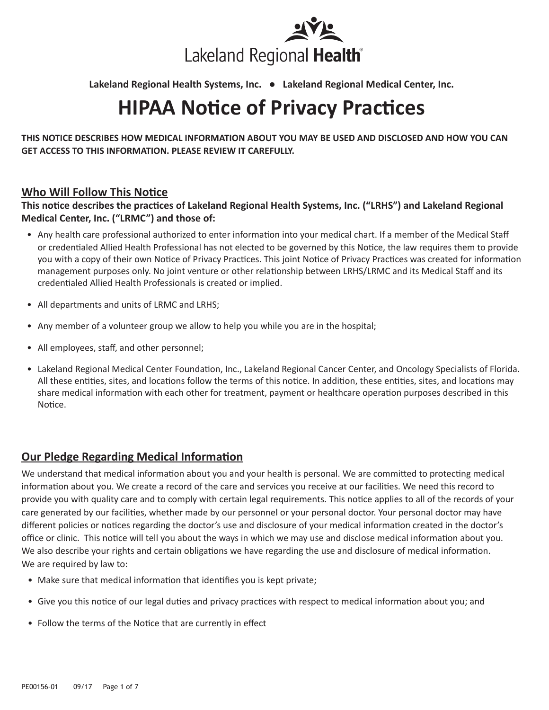

**Lakeland Regional Health Systems, Inc. ● Lakeland Regional Medical Center, Inc.** 

# **HIPAA Notice of Privacy Practices**

**THIS NOTICE DESCRIBES HOW MEDICAL INFORMATION ABOUT YOU MAY BE USED AND DISCLOSED AND HOW YOU CAN GET ACCESS TO THIS INFORMATION. PLEASE REVIEW IT CAREFULLY.**

#### **Who Will Follow This Notice**

#### **This notice describes the practices of Lakeland Regional Health Systems, Inc. ("LRHS") and Lakeland Regional Medical Center, Inc. ("LRMC") and those of:**

- Any health care professional authorized to enter information into your medical chart. If a member of the Medical Staff or credentialed Allied Health Professional has not elected to be governed by this Notice, the law requires them to provide you with a copy of their own Notice of Privacy Practices. This joint Notice of Privacy Practices was created for information management purposes only. No joint venture or other relationship between LRHS/LRMC and its Medical Staff and its credentialed Allied Health Professionals is created or implied.
- All departments and units of LRMC and LRHS;
- Any member of a volunteer group we allow to help you while you are in the hospital;
- All employees, staff, and other personnel;
- Lakeland Regional Medical Center Foundation, Inc., Lakeland Regional Cancer Center, and Oncology Specialists of Florida. All these entities, sites, and locations follow the terms of this notice. In addition, these entities, sites, and locations may share medical information with each other for treatment, payment or healthcare operation purposes described in this Notice.

#### **Our Pledge Regarding Medical Information**

We understand that medical information about you and your health is personal. We are committed to protecting medical information about you. We create a record of the care and services you receive at our facilities. We need this record to provide you with quality care and to comply with certain legal requirements. This notice applies to all of the records of your care generated by our facilities, whether made by our personnel or your personal doctor. Your personal doctor may have different policies or notices regarding the doctor's use and disclosure of your medical information created in the doctor's office or clinic. This notice will tell you about the ways in which we may use and disclose medical information about you. We also describe your rights and certain obligations we have regarding the use and disclosure of medical information. We are required by law to:

- Make sure that medical information that identifies you is kept private;
- Give you this notice of our legal duties and privacy practices with respect to medical information about you; and
- Follow the terms of the Notice that are currently in effect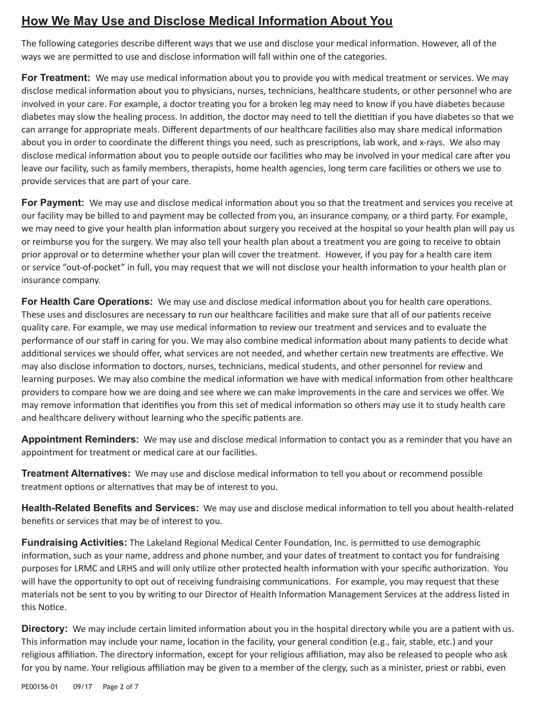## **How We May Use and Disclose Medical Information About You**

The following categories describe different ways that we use and disclose your medical information. However, all of the ways we are permitted to use and disclose information will fall within one of the categories.

**For Treatment:** We may use medical information about you to provide you with medical treatment or services. We may disclose medical information about you to physicians, nurses, technicians, healthcare students, or other personnel who are involved in your care. For example, a doctor treating you for a broken leg may need to know if you have diabetes because diabetes may slow the healing process. In addition, the doctor may need to tell the dietitian if you have diabetes so that we can arrange for appropriate meals. Different departments of our healthcare facilities also may share medical information about you in order to coordinate the different things you need, such as prescriptions, lab work, and x‐rays. We also may disclose medical information about you to people outside our facilities who may be involved in your medical care after you leave our facility, such as family members, therapists, home health agencies, long term care facilities or others we use to provide services that are part of your care.

**For Payment:** We may use and disclose medical information about you so that the treatment and services you receive at our facility may be billed to and payment may be collected from you, an insurance company, or a third party. For example, we may need to give your health plan information about surgery you received at the hospital so your health plan will pay us or reimburse you for the surgery. We may also tell your health plan about a treatment you are going to receive to obtain prior approval or to determine whether your plan will cover the treatment. However, if you pay for a health care item or service "out‐of‐pocket" in full, you may request that we will not disclose your health information to your health plan or insurance company.

**For Health Care Operations:** We may use and disclose medical information about you for health care operations. These uses and disclosures are necessary to run our healthcare facilities and make sure that all of our patients receive quality care. For example, we may use medical information to review our treatment and services and to evaluate the performance of our staff in caring for you. We may also combine medical information about many patients to decide what additional services we should offer, what services are not needed, and whether certain new treatments are effective. We may also disclose information to doctors, nurses, technicians, medical students, and other personnel for review and learning purposes. We may also combine the medical information we have with medical information from other healthcare providers to compare how we are doing and see where we can make improvements in the care and services we offer. We may remove information that identifies you from this set of medical information so others may use it to study health care and healthcare delivery without learning who the specific patients are.

**Appointment Reminders:** We may use and disclose medical information to contact you as a reminder that you have an appointment for treatment or medical care at our facilities.

**Treatment Alternatives:** We may use and disclose medical information to tell you about or recommend possible treatment options or alternatives that may be of interest to you.

**Health-Related Benefits and Services:** We may use and disclose medical information to tell you about health‐related benefits or services that may be of interest to you.

**Fundraising Activities:** The Lakeland Regional Medical Center Foundation, Inc. is permitted to use demographic information, such as your name, address and phone number, and your dates of treatment to contact you for fundraising purposes for LRMC and LRHS and will only utilize other protected health information with your specific authorization. You will have the opportunity to opt out of receiving fundraising communications. For example, you may request that these materials not be sent to you by writing to our Director of Health Information Management Services at the address listed in this Notice.

**Directory:** We may include certain limited information about you in the hospital directory while you are a patient with us. This information may include your name, location in the facility, your general condition (e.g., fair, stable, etc.) and your religious affiliation. The directory information, except for your religious affiliation, may also be released to people who ask for you by name. Your religious affiliation may be given to a member of the clergy, such as a minister, priest or rabbi, even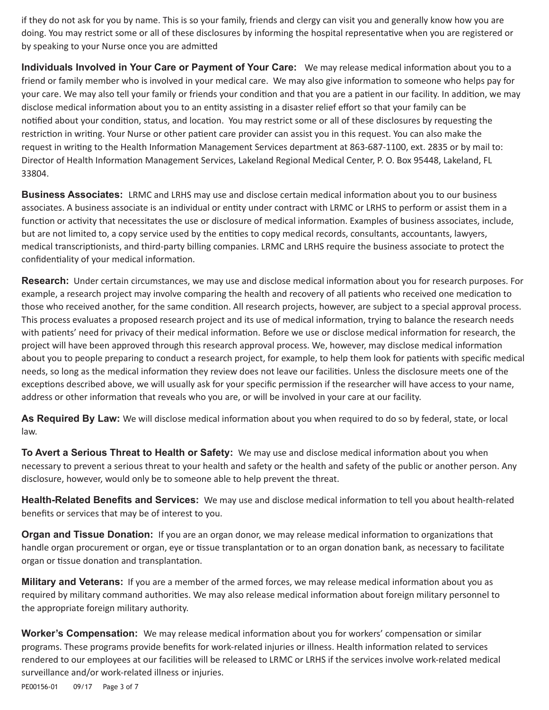if they do not ask for you by name. This is so your family, friends and clergy can visit you and generally know how you are doing. You may restrict some or all of these disclosures by informing the hospital representative when you are registered or by speaking to your Nurse once you are admitted

**Individuals Involved in Your Care or Payment of Your Care:** We may release medical information about you to a friend or family member who is involved in your medical care. We may also give information to someone who helps pay for your care. We may also tell your family or friends your condition and that you are a patient in our facility. In addition, we may disclose medical information about you to an entity assisting in a disaster relief effort so that your family can be notified about your condition, status, and location. You may restrict some or all of these disclosures by requesting the restriction in writing. Your Nurse or other patient care provider can assist you in this request. You can also make the request in writing to the Health Information Management Services department at 863‐687‐1100, ext. 2835 or by mail to: Director of Health Information Management Services, Lakeland Regional Medical Center, P. O. Box 95448, Lakeland, FL 33804.

**Business Associates:** LRMC and LRHS may use and disclose certain medical information about you to our business associates. A business associate is an individual or entity under contract with LRMC or LRHS to perform or assist them in a function or activity that necessitates the use or disclosure of medical information. Examples of business associates, include, but are not limited to, a copy service used by the entities to copy medical records, consultants, accountants, lawyers, medical transcriptionists, and third‐party billing companies. LRMC and LRHS require the business associate to protect the confidentiality of your medical information.

**Research:** Under certain circumstances, we may use and disclose medical information about you for research purposes. For example, a research project may involve comparing the health and recovery of all patients who received one medication to those who received another, for the same condition. All research projects, however, are subject to a special approval process. This process evaluates a proposed research project and its use of medical information, trying to balance the research needs with patients' need for privacy of their medical information. Before we use or disclose medical information for research, the project will have been approved through this research approval process. We, however, may disclose medical information about you to people preparing to conduct a research project, for example, to help them look for patients with specific medical needs, so long as the medical information they review does not leave our facilities. Unless the disclosure meets one of the exceptions described above, we will usually ask for your specific permission if the researcher will have access to your name, address or other information that reveals who you are, or will be involved in your care at our facility.

**As Required By Law:** We will disclose medical information about you when required to do so by federal, state, or local law.

**To Avert a Serious Threat to Health or Safety:** We may use and disclose medical information about you when necessary to prevent a serious threat to your health and safety or the health and safety of the public or another person. Any disclosure, however, would only be to someone able to help prevent the threat.

**Health-Related Benefits and Services:** We may use and disclose medical information to tell you about health‐related benefits or services that may be of interest to you.

**Organ and Tissue Donation:** If you are an organ donor, we may release medical information to organizations that handle organ procurement or organ, eye or tissue transplantation or to an organ donation bank, as necessary to facilitate organ or tissue donation and transplantation.

**Military and Veterans:** If you are a member of the armed forces, we may release medical information about you as required by military command authorities. We may also release medical information about foreign military personnel to the appropriate foreign military authority.

**Worker's Compensation:** We may release medical information about you for workers' compensation or similar programs. These programs provide benefits for work‐related injuries or illness. Health information related to services rendered to our employees at our facilities will be released to LRMC or LRHS if the services involve work‐related medical surveillance and/or work‐related illness or injuries.

PE00156-01 09/17 Page 3 of 7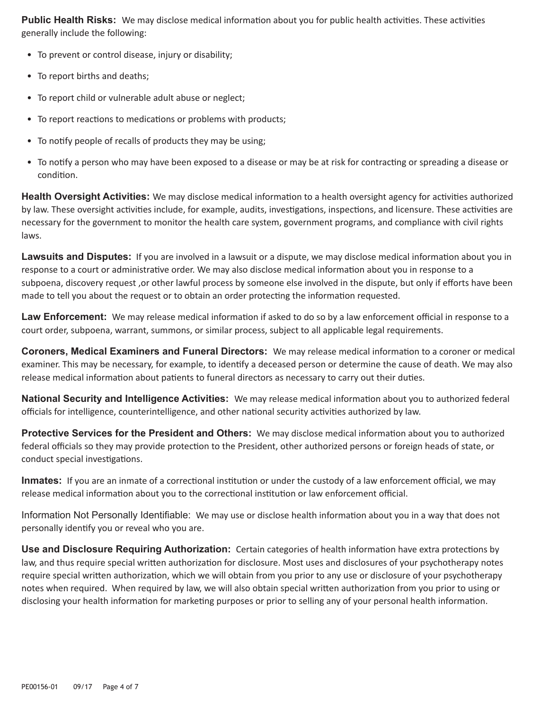**Public Health Risks:** We may disclose medical information about you for public health activities. These activities generally include the following:

- To prevent or control disease, injury or disability;
- To report births and deaths;
- To report child or vulnerable adult abuse or neglect;
- To report reactions to medications or problems with products;
- To notify people of recalls of products they may be using;
- To notify a person who may have been exposed to a disease or may be at risk for contracting or spreading a disease or condition.

**Health Oversight Activities:** We may disclose medical information to a health oversight agency for activities authorized by law. These oversight activities include, for example, audits, investigations, inspections, and licensure. These activities are necessary for the government to monitor the health care system, government programs, and compliance with civil rights laws.

**Lawsuits and Disputes:** If you are involved in a lawsuit or a dispute, we may disclose medical information about you in response to a court or administrative order. We may also disclose medical information about you in response to a subpoena, discovery request ,or other lawful process by someone else involved in the dispute, but only if efforts have been made to tell you about the request or to obtain an order protecting the information requested.

**Law Enforcement:** We may release medical information if asked to do so by a law enforcement official in response to a court order, subpoena, warrant, summons, or similar process, subject to all applicable legal requirements.

**Coroners, Medical Examiners and Funeral Directors:** We may release medical information to a coroner or medical examiner. This may be necessary, for example, to identify a deceased person or determine the cause of death. We may also release medical information about patients to funeral directors as necessary to carry out their duties.

**National Security and Intelligence Activities:** We may release medical information about you to authorized federal officials for intelligence, counterintelligence, and other national security activities authorized by law.

**Protective Services for the President and Others:** We may disclose medical information about you to authorized federal officials so they may provide protection to the President, other authorized persons or foreign heads of state, or conduct special investigations.

**Inmates:** If you are an inmate of a correctional institution or under the custody of a law enforcement official, we may release medical information about you to the correctional institution or law enforcement official.

Information Not Personally Identifiable: We may use or disclose health information about you in a way that does not personally identify you or reveal who you are.

**Use and Disclosure Requiring Authorization:** Certain categories of health information have extra protections by law, and thus require special written authorization for disclosure. Most uses and disclosures of your psychotherapy notes require special written authorization, which we will obtain from you prior to any use or disclosure of your psychotherapy notes when required. When required by law, we will also obtain special written authorization from you prior to using or disclosing your health information for marketing purposes or prior to selling any of your personal health information.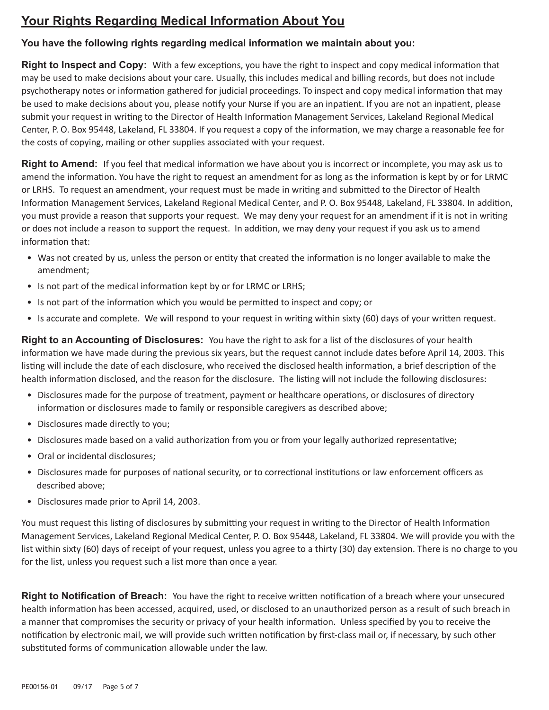## **Your Rights Regarding Medical Information About You**

#### **You have the following rights regarding medical information we maintain about you:**

**Right to Inspect and Copy:** With a few exceptions, you have the right to inspect and copy medical information that may be used to make decisions about your care. Usually, this includes medical and billing records, but does not include psychotherapy notes or information gathered for judicial proceedings. To inspect and copy medical information that may be used to make decisions about you, please notify your Nurse if you are an inpatient. If you are not an inpatient, please submit your request in writing to the Director of Health Information Management Services, Lakeland Regional Medical Center, P. O. Box 95448, Lakeland, FL 33804. If you request a copy of the information, we may charge a reasonable fee for the costs of copying, mailing or other supplies associated with your request.

**Right to Amend:** If you feel that medical information we have about you is incorrect or incomplete, you may ask us to amend the information. You have the right to request an amendment for as long as the information is kept by or for LRMC or LRHS. To request an amendment, your request must be made in writing and submitted to the Director of Health Information Management Services, Lakeland Regional Medical Center, and P. O. Box 95448, Lakeland, FL 33804. In addition, you must provide a reason that supports your request. We may deny your request for an amendment if it is not in writing or does not include a reason to support the request. In addition, we may deny your request if you ask us to amend information that:

- Was not created by us, unless the person or entity that created the information is no longer available to make the amendment;
- Is not part of the medical information kept by or for LRMC or LRHS;
- Is not part of the information which you would be permitted to inspect and copy; or
- Is accurate and complete. We will respond to your request in writing within sixty (60) days of your written request.

**Right to an Accounting of Disclosures:** You have the right to ask for a list of the disclosures of your health information we have made during the previous six years, but the request cannot include dates before April 14, 2003. This listing will include the date of each disclosure, who received the disclosed health information, a brief description of the health information disclosed, and the reason for the disclosure. The listing will not include the following disclosures:

- Disclosures made for the purpose of treatment, payment or healthcare operations, or disclosures of directory information or disclosures made to family or responsible caregivers as described above;
- Disclosures made directly to you;
- Disclosures made based on a valid authorization from you or from your legally authorized representative;
- Oral or incidental disclosures;
- Disclosures made for purposes of national security, or to correctional institutions or law enforcement officers as described above;
- Disclosures made prior to April 14, 2003.

You must request this listing of disclosures by submitting your request in writing to the Director of Health Information Management Services, Lakeland Regional Medical Center, P. O. Box 95448, Lakeland, FL 33804. We will provide you with the list within sixty (60) days of receipt of your request, unless you agree to a thirty (30) day extension. There is no charge to you for the list, unless you request such a list more than once a year.

**Right to Notification of Breach:** You have the right to receive written notification of a breach where your unsecured health information has been accessed, acquired, used, or disclosed to an unauthorized person as a result of such breach in a manner that compromises the security or privacy of your health information. Unless specified by you to receive the notification by electronic mail, we will provide such written notification by first‐class mail or, if necessary, by such other substituted forms of communication allowable under the law.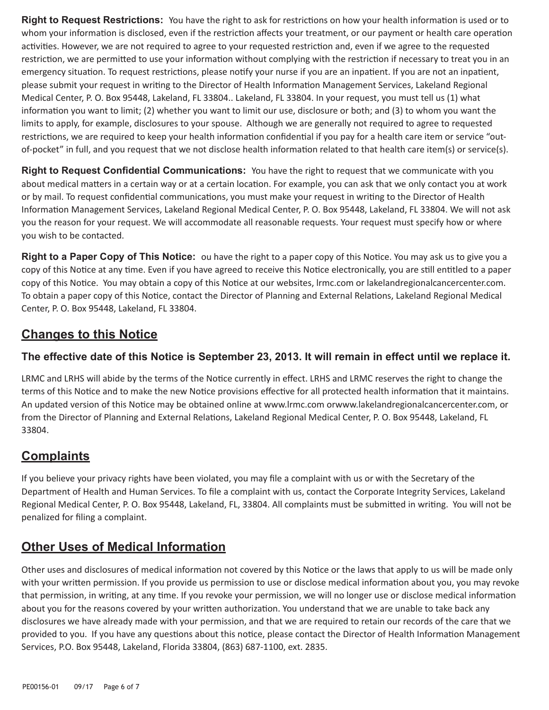**Right to Request Restrictions:** You have the right to ask for restrictions on how your health information is used or to whom your information is disclosed, even if the restriction affects your treatment, or our payment or health care operation activities. However, we are not required to agree to your requested restriction and, even if we agree to the requested restriction, we are permitted to use your information without complying with the restriction if necessary to treat you in an emergency situation. To request restrictions, please notify your nurse if you are an inpatient. If you are not an inpatient, please submit your request in writing to the Director of Health Information Management Services, Lakeland Regional Medical Center, P. O. Box 95448, Lakeland, FL 33804.. Lakeland, FL 33804. In your request, you must tell us (1) what information you want to limit; (2) whether you want to limit our use, disclosure or both; and (3) to whom you want the limits to apply, for example, disclosures to your spouse. Although we are generally not required to agree to requested restrictions, we are required to keep your health information confidential if you pay for a health care item or service "outof-pocket" in full, and you request that we not disclose health information related to that health care item(s) or service(s).

**Right to Request Confidential Communications:** You have the right to request that we communicate with you about medical matters in a certain way or at a certain location. For example, you can ask that we only contact you at work or by mail. To request confidential communications, you must make your request in writing to the Director of Health Information Management Services, Lakeland Regional Medical Center, P. O. Box 95448, Lakeland, FL 33804. We will not ask you the reason for your request. We will accommodate all reasonable requests. Your request must specify how or where you wish to be contacted.

**Right to a Paper Copy of This Notice:** ou have the right to a paper copy of this Notice. You may ask us to give you a copy of this Notice at any time. Even if you have agreed to receive this Notice electronically, you are still entitled to a paper copy of this Notice. You may obtain a copy of this Notice at our websites, lrmc.com or lakelandregionalcancercenter.com. To obtain a paper copy of this Notice, contact the Director of Planning and External Relations, Lakeland Regional Medical Center, P. O. Box 95448, Lakeland, FL 33804.

## **Changes to this Notice**

#### **The effective date of this Notice is September 23, 2013. It will remain in effect until we replace it.**

LRMC and LRHS will abide by the terms of the Notice currently in effect. LRHS and LRMC reserves the right to change the terms of this Notice and to make the new Notice provisions effective for all protected health information that it maintains. An updated version of this Notice may be obtained online at www.lrmc.com orwww.lakelandregionalcancercenter.com, or from the Director of Planning and External Relations, Lakeland Regional Medical Center, P. O. Box 95448, Lakeland, FL 33804.

## **Complaints**

If you believe your privacy rights have been violated, you may file a complaint with us or with the Secretary of the Department of Health and Human Services. To file a complaint with us, contact the Corporate Integrity Services, Lakeland Regional Medical Center, P. O. Box 95448, Lakeland, FL, 33804. All complaints must be submitted in writing. You will not be penalized for filing a complaint.

## **Other Uses of Medical Information**

Other uses and disclosures of medical information not covered by this Notice or the laws that apply to us will be made only with your written permission. If you provide us permission to use or disclose medical information about you, you may revoke that permission, in writing, at any time. If you revoke your permission, we will no longer use or disclose medical information about you for the reasons covered by your written authorization. You understand that we are unable to take back any disclosures we have already made with your permission, and that we are required to retain our records of the care that we provided to you. If you have any questions about this notice, please contact the Director of Health Information Management Services, P.O. Box 95448, Lakeland, Florida 33804, (863) 687‐1100, ext. 2835.